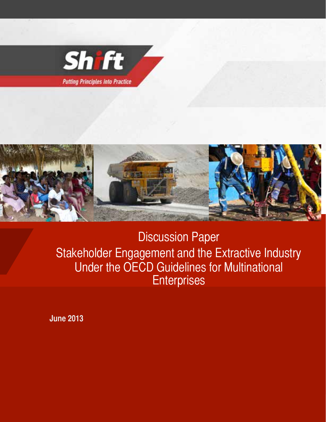



Discussion Paper Stakeholder Engagement and the Extractive Industry Under the OECD Guidelines for Multinational **Enterprises** 

**June 2013**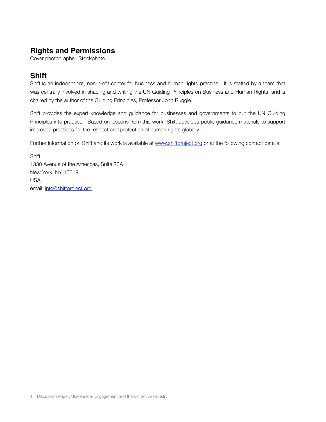# **Rights and Permissions**

Cover photographs: iStockphoto

# **Shift**

Shift is an independent, non-profit center for business and human rights practice. It is staffed by a team that was centrally involved in shaping and writing the UN Guiding Principles on Business and Human Rights, and is chaired by the author of the Guiding Principles, Professor John Ruggie.

Shift provides the expert knowledge and guidance for businesses and governments to put the UN Guiding Principles into practice. Based on lessons from this work, Shift develops public guidance materials to support improved practices for the respect and protection of human rights globally.

Further information on Shift and its work is available at [www.shiftproject.org](http://www.shiftproject.org) or at the following contact details:

**Shift** 1330 Avenue of the Americas, Suite 23A New York, NY 10019 USA email: [info@shiftproject.org](mailto:info@shiftproject.org)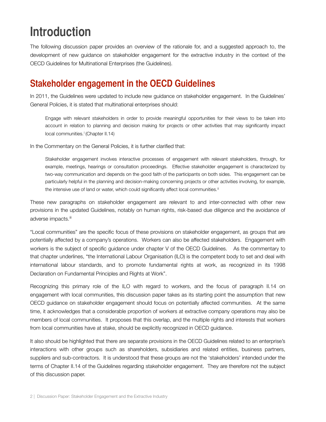# **Introduction**

The following discussion paper provides an overview of the rationale for, and a suggested approach to, the development of new guidance on stakeholder engagement for the extractive industry in the context of the OECD Guidelines for Multinational Enterprises (the Guidelines).

# **Stakeholder engagement in the OECD Guidelines**

In 2011, the Guidelines were updated to include new guidance on stakeholder engagement. In the Guidelines' General Policies, it is stated that multinational enterprises should:

Engage with relevant stakeholders in order to provide meaningful opportunities for their views to be taken into account in relation to planning and decision making for projects or other activities that may significantly impact local communities.<sup>i</sup> (Chapter II.14)

In the Commentary on the General Policies, it is further clarified that:

Stakeholder engagement involves interactive processes of engagement with relevant stakeholders, through, for example, meetings, hearings or consultation proceedings. Effective stakeholder engagement is characterized by two-way communication and depends on the good faith of the participants on both sides. This engagement can be particularly helpful in the planning and decision-making concerning projects or other activities involving, for example, the intensive use of land or water, which could significantly affect local communities.<sup>[ii](#page-28-0)</sup>

These new paragraphs on stakeholder engagement are relevant to and inter-connected with other new provisions in the updated Guidelines, notably on human rights, risk-based due diligence and the avoidance of adverse impacts.<sup>iii</sup>

"Local communities" are the specific focus of these provisions on stakeholder engagement, as groups that are potentially affected by a company's operations. Workers can also be affected stakeholders. Engagement with workers is the subject of specific guidance under chapter V of the OECD Guidelines. As the commentary to that chapter underlines, "the International Labour Organisation (ILO) is the competent body to set and deal with international labour standards, and to promote fundamental rights at work, as recognized in its 1998 Declaration on Fundamental Principles and Rights at Work".

Recognizing this primary role of the ILO with regard to workers, and the focus of paragraph II.14 on engagement with local communities, this discussion paper takes as its starting point the assumption that new OECD guidance on stakeholder engagement should focus on potentially affected communities. At the same time, it acknowledges that a considerable proportion of workers at extractive company operations may also be members of local communities. It proposes that this overlap, and the multiple rights and interests that workers from local communities have at stake, should be explicitly recognized in OECD guidance.

It also should be highlighted that there are separate provisions in the OECD Guidelines related to an enterprise's interactions with other groups such as shareholders, subsidiaries and related entities, business partners, suppliers and sub-contractors. It is understood that these groups are not the 'stakeholders' intended under the terms of Chapter II.14 of the Guidelines regarding stakeholder engagement. They are therefore not the subject of this discussion paper.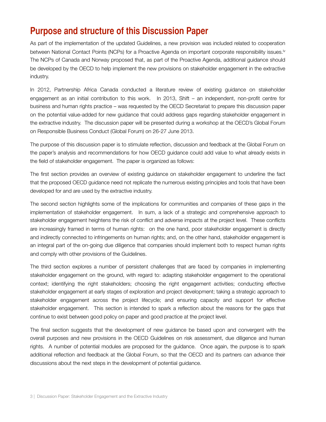# **Purpose and structure of this Discussion Paper**

As part of the implementation of the updated Guidelines, a new provision was included related to cooperation between National Contact Points (NCPs) for a Proact[iv](#page-28-2)e Agenda on important corporate responsibility issues.<sup>iv</sup> The NCPs of Canada and Norway proposed that, as part of the Proactive Agenda, additional guidance should be developed by the OECD to help implement the new provisions on stakeholder engagement in the extractive industry.

In 2012, Partnership Africa Canada conducted a literature review of existing guidance on stakeholder engagement as an initial contribution to this work. In 2013, Shift – an independent, non-profit centre for business and human rights practice – was requested by the OECD Secretariat to prepare this discussion paper on the potential value-added for new guidance that could address gaps regarding stakeholder engagement in the extractive industry. The discussion paper will be presented during a workshop at the OECD's Global Forum on Responsible Business Conduct (Global Forum) on 26-27 June 2013.

The purpose of this discussion paper is to stimulate reflection, discussion and feedback at the Global Forum on the paper's analysis and recommendations for how OECD guidance could add value to what already exists in the field of stakeholder engagement. The paper is organized as follows:

The first section provides an overview of existing guidance on stakeholder engagement to underline the fact that the proposed OECD guidance need not replicate the numerous existing principles and tools that have been developed for and are used by the extractive industry.

The second section highlights some of the implications for communities and companies of these gaps in the implementation of stakeholder engagement. In sum, a lack of a strategic and comprehensive approach to stakeholder engagement heightens the risk of conflict and adverse impacts at the project level. These conflicts are increasingly framed in terms of human rights: on the one hand, poor stakeholder engagement is directly and indirectly connected to infringements on human rights; and, on the other hand, stakeholder engagement is an integral part of the on-going due diligence that companies should implement both to respect human rights and comply with other provisions of the Guidelines.

The third section explores a number of persistent challenges that are faced by companies in implementing stakeholder engagement on the ground, with regard to: adapting stakeholder engagement to the operational context; identifying the right stakeholders; choosing the right engagement activities; conducting effective stakeholder engagement at early stages of exploration and project development; taking a strategic approach to stakeholder engagement across the project lifecycle; and ensuring capacity and support for effective stakeholder engagement. This section is intended to spark a reflection about the reasons for the gaps that continue to exist between good policy on paper and good practice at the project level.

The final section suggests that the development of new guidance be based upon and convergent with the overall purposes and new provisions in the OECD Guidelines on risk assessment, due diligence and human rights. A number of potential modules are proposed for the guidance. Once again, the purpose is to spark additional reflection and feedback at the Global Forum, so that the OECD and its partners can advance their discussions about the next steps in the development of potential guidance.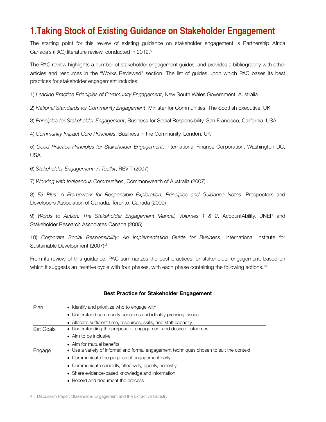# **1.Taking Stock of Existing Guidance on Stakeholder Engagement**

The starting point for this review of existing guidance on stakeholder engagement is Partnership Africa Canada's (PAC) literature re[v](#page-28-3)iew, conducted in 2012.<sup>v</sup>

The PAC review highlights a number of stakeholder engagement guides, and provides a bibliography with other articles and resources in the "Works Reviewed" section. The list of guides upon which PAC bases its best practices for stakeholder engagement includes:

1) *Leading Practice Principles of Community Engagement*, New South Wales Government, Australia

2) *National Standards for Community Engagement*, Minister for Communities, The Scottish Executive, UK

3) *Principles for Stakeholder Engagement*, Business for Social Responsibility, San Francisco, California, USA

4) *Community Impact Core Principles*, Business in the Community, London, UK

5) *Good Practice Principles for Stakeholder Engagement*, International Finance Corporation, Washington DC, USA

6) *Stakeholder Engagement: A Toolkit*, REVIT (2007)

7) *Working with Indigenous Communities*, Commonwealth of Australia (2007)

8) *E3 Plus: A Framework for Responsible Exploration, Principles and Guidance Notes*, Prospectors and Developers Association of Canada, Toronto, Canada (2009)

9) *Words to Action: The Stakeholder Engagement Manual, Volumes 1 & 2*, AccountAbility, UNEP and Stakeholder Research Associates Canada (2005)

10) *Corporate Social Responsibility: An Implementation Guide for Business*, International Institute for Sustainable Development (2007)<sup>[vi](#page-28-4)</sup>

From its review of this guidance, PAC summarizes the best practices for stakeholder engagement, based on which it suggests an iterative cycle with four phases, with each phase containing the following actions.<sup>[vii](#page-28-5)</sup>

| Plan<br>$\bullet$ Identify and prioritize who to engage with |                                                                                         |  |  |  |  |
|--------------------------------------------------------------|-----------------------------------------------------------------------------------------|--|--|--|--|
|                                                              | $\bullet$ Understand community concerns and identify pressing issues                    |  |  |  |  |
|                                                              | • Allocate sufficient time, resources, skills, and staff capacity.                      |  |  |  |  |
| <b>Set Goals</b>                                             | $\bullet$ Understanding the purpose of engagement and desired outcomes                  |  |  |  |  |
|                                                              | <b>Aim to be inclusive</b>                                                              |  |  |  |  |
|                                                              | Aim for mutual benefits<br>le.                                                          |  |  |  |  |
| Engage                                                       | • Use a variety of informal and formal engagement techniques chosen to suit the context |  |  |  |  |
|                                                              | $\bullet$ Communicate the purpose of engagement early                                   |  |  |  |  |
|                                                              | $\bullet$ Communicate candidly, effectively, openly, honestly                           |  |  |  |  |
|                                                              | • Share evidence-based knowledge and information                                        |  |  |  |  |
|                                                              | $\bullet$ Record and document the process                                               |  |  |  |  |

#### **Best Practice for Stakeholder Engagement**

4 | Discussion Paper: Stakeholder Engagement and the Extractive Industry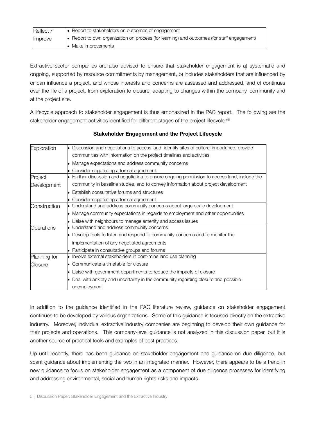| Reflect /      | • Report to stakeholders on outcomes of engagement                                                 |
|----------------|----------------------------------------------------------------------------------------------------|
| <b>Improve</b> | $\bullet$ Report to own organization on process (for learning) and outcomes (for staff engagement) |
|                | Make improvements                                                                                  |

Extractive sector companies are also advised to ensure that stakeholder engagement is a) systematic and ongoing, supported by resource commitments by management, b) includes stakeholders that are influenced by or can influence a project, and whose interests and concerns are assessed and addressed, and c) continues over the life of a project, from exploration to closure, adapting to changes within the company, community and at the project site.

A lifecycle approach to stakeholder engagement is thus emphasized in the PAC report. The following are the stakeholder engagement activities identified for different stages of the project lifecycle:[viii](#page-28-6)

| Exploration  | • Discussion and negotiations to access land, identify sites of cultural importance, provide  |  |  |  |  |
|--------------|-----------------------------------------------------------------------------------------------|--|--|--|--|
|              | communities with information on the project timelines and activities                          |  |  |  |  |
|              | Manage expectations and address community concerns                                            |  |  |  |  |
|              | Consider negotiating a formal agreement                                                       |  |  |  |  |
| Project      | • Further discussion and negotiation to ensure ongoing permission to access land, include the |  |  |  |  |
| Development  | community in baseline studies, and to convey information about project development            |  |  |  |  |
|              | <b>Establish consultative forums and structures</b>                                           |  |  |  |  |
|              | • Consider negotiating a formal agreement                                                     |  |  |  |  |
| Construction | • Understand and address community concerns about large-scale development                     |  |  |  |  |
|              | • Manage community expectations in regards to employment and other opportunities              |  |  |  |  |
|              | • Liaise with neighbours to manage amenity and access issues                                  |  |  |  |  |
| Operations   | • Understand and address community concerns                                                   |  |  |  |  |
|              | • Develop tools to listen and respond to community concerns and to monitor the                |  |  |  |  |
|              | implementation of any negotiated agreements                                                   |  |  |  |  |
|              | • Participate in consultative groups and forums                                               |  |  |  |  |
| Planning for | $\bullet$ Involve external stakeholders in post-mine land use planning                        |  |  |  |  |
| Closure      | • Communicate a timetable for closure                                                         |  |  |  |  |
|              | • Liaise with government departments to reduce the impacts of closure                         |  |  |  |  |
|              | Deal with anxiety and uncertainty in the community regarding closure and possible             |  |  |  |  |
|              | unemployment                                                                                  |  |  |  |  |

#### **Stakeholder Engagement and the Project Lifecycle**

In addition to the guidance identified in the PAC literature review, guidance on stakeholder engagement continues to be developed by various organizations. Some of this guidance is focused directly on the extractive industry. Moreover, individual extractive industry companies are beginning to develop their own guidance for their projects and operations. This company-level guidance is not analyzed in this discussion paper, but it is another source of practical tools and examples of best practices.

Up until recently, there has been guidance on stakeholder engagement and guidance on due diligence, but scant guidance about implementing the two in an integrated manner. However, there appears to be a trend in new guidance to focus on stakeholder engagement as a component of due diligence processes for identifying and addressing environmental, social and human rights risks and impacts.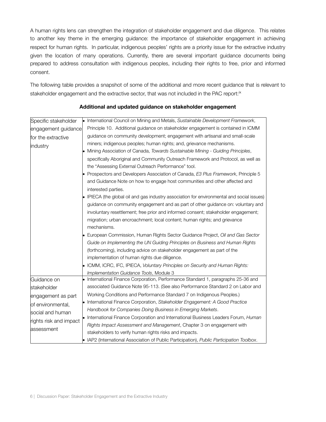A human rights lens can strengthen the integration of stakeholder engagement and due diligence. This relates to another key theme in the emerging guidance: the importance of stakeholder engagement in achieving respect for human rights. In particular, indigenous peoples' rights are a priority issue for the extractive industry given the location of many operations. Currently, there are several important guidance documents being prepared to address consultation with indigenous peoples, including their rights to free, prior and informed consent.

The following table provides a snapshot of some of the additional and more recent guidance that is relevant to stakeholder engagement and the extractive sector, that was not included in the PAC report:<sup>[ix](#page-28-7)</sup>

| Specific stakeholder   | • International Council on Mining and Metals, Sustainable Development Framework,                   |
|------------------------|----------------------------------------------------------------------------------------------------|
| engagement guidance    | Principle 10. Additional guidance on stakeholder engagement is contained in ICMM                   |
| for the extractive     | guidance on community development; engagement with artisanal and small-scale                       |
| industry               | miners; indigenous peoples; human rights; and, grievance mechanisms.                               |
|                        | • Mining Association of Canada, Towards Sustainable Mining - Guiding Principles,                   |
|                        | specifically Aboriginal and Community Outreach Framework and Protocol, as well as                  |
|                        | the "Assessing External Outreach Performance" tool.                                                |
|                        | • Prospectors and Developers Association of Canada, E3 Plus Framework, Principle 5                 |
|                        | and Guidance Note on how to engage host communities and other affected and                         |
|                        | interested parties.                                                                                |
|                        | $\bullet$ IPIECA (the global oil and gas industry association for environmental and social issues) |
|                        | guidance on community engagement and as part of other guidance on: voluntary and                   |
|                        | involuntary resettlement; free prior and informed consent; stakeholder engagement;                 |
|                        | migration; urban encroachment; local content; human rights; and grievance                          |
|                        | mechanisms.                                                                                        |
|                        | • European Commission, Human Rights Sector Guidance Project, Oil and Gas Sector                    |
|                        | Guide on Implementing the UN Guiding Principles on Business and Human Rights                       |
|                        | (forthcoming), including advice on stakeholder engagement as part of the                           |
|                        | implementation of human rights due diligence.                                                      |
|                        | • ICMM, ICRC, IFC, IPIECA, Voluntary Principles on Security and Human Rights:                      |
|                        | Implementation Guidance Tools, Module 3                                                            |
| Guidance on            | International Finance Corporation, Performance Standard 1, paragraphs 25-36 and                    |
| stakeholder            | associated Guidance Note 95-113. (See also Performance Standard 2 on Labor and                     |
| engagement as part     | Working Conditions and Performance Standard 7 on Indigenous Peoples.)                              |
| of environmental,      | • International Finance Corporation, Stakeholder Engagement: A Good Practice                       |
| social and human       | Handbook for Companies Doing Business in Emerging Markets.                                         |
| rights risk and impact | • International Finance Corporation and International Business Leaders Forum, Human                |
| assessment             | Rights Impact Assessment and Management, Chapter 3 on engagement with                              |
|                        | stakeholders to verify human rights risks and impacts.                                             |
|                        | • IAP2 (International Association of Public Participation), Public Participation Toolbox.          |

#### **Additional and updated guidance on stakeholder engagement**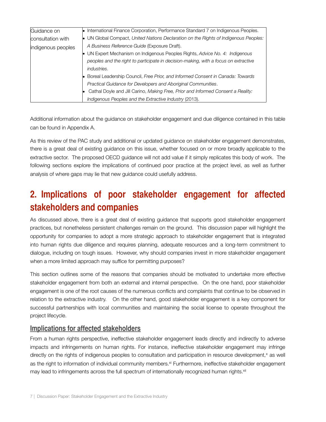| Guidance on        | • International Finance Corporation, Performance Standard 7 on Indigenous Peoples.   |
|--------------------|--------------------------------------------------------------------------------------|
| consultation with  | • UN Global Compact, United Nations Declaration on the Rights of Indigenous Peoples: |
| indigenous peoples | A Business Reference Guide (Exposure Draft).                                         |
|                    | UN Expert Mechanism on Indigenous Peoples Rights, Advice No. 4: Indigenous           |
|                    | peoples and the right to participate in decision-making, with a focus on extractive  |
|                    | <i>industries.</i>                                                                   |
|                    | • Boreal Leadership Council, Free Prior, and Informed Consent in Canada: Towards     |
|                    | Practical Guidance for Developers and Aboriginal Communities.                        |
|                    | Cathal Doyle and Jill Carino, Making Free, Prior and Informed Consent a Reality:     |
|                    | Indigenous Peoples and the Extractive Industry (2013).                               |

Additional information about the guidance on stakeholder engagement and due diligence contained in this table can be found in Appendix A.

As this review of the PAC study and additional or updated guidance on stakeholder engagement demonstrates, there is a great deal of existing guidance on this issue, whether focused on or more broadly applicable to the extractive sector. The proposed OECD guidance will not add value if it simply replicates this body of work. The following sections explore the implications of continued poor practice at the project level, as well as further analysis of where gaps may lie that new guidance could usefully address.

# **2. Implications of poor stakeholder engagement for affected stakeholders and companies**

As discussed above, there is a great deal of existing guidance that supports good stakeholder engagement practices, but nonetheless persistent challenges remain on the ground. This discussion paper will highlight the opportunity for companies to adopt a more strategic approach to stakeholder engagement that is integrated into human rights due diligence and requires planning, adequate resources and a long-term commitment to dialogue, including on tough issues. However, why should companies invest in more stakeholder engagement when a more limited approach may suffice for permitting purposes?

This section outlines some of the reasons that companies should be motivated to undertake more effective stakeholder engagement from both an external and internal perspective. On the one hand, poor stakeholder engagement is one of the root causes of the numerous conflicts and complaints that continue to be observed in relation to the extractive industry. On the other hand, good stakeholder engagement is a key component for successful partnerships with local communities and maintaining the social license to operate throughout the project lifecycle.

## **Implications for affected stakeholders**

From a human rights perspective, ineffective stakeholder engagement leads directly and indirectly to adverse impacts and infringements on human rights. For instance, ineffective stakeholder engagement may infringe directly on the rights of indigenous peoples to consultation and participation in resource development, $x$  as well as the right to information of individual community members.<sup>xi</sup> Furthermore, ineffective stakeholder engagement may lead to infringements across the full spectrum of internationally recognized human rights.[xii](#page-28-10)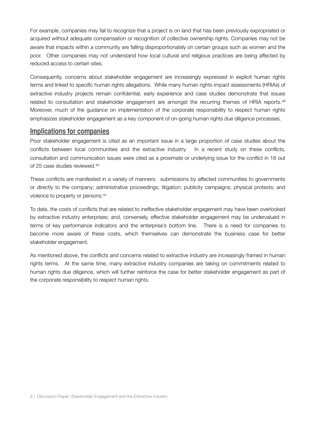For example, companies may fail to recognize that a project is on land that has been previously expropriated or acquired without adequate compensation or recognition of collective ownership rights. Companies may not be aware that impacts within a community are falling disproportionately on certain groups such as women and the poor. Other companies may not understand how local cultural and religious practices are being affected by reduced access to certain sites.

Consequently, concerns about stakeholder engagement are increasingly expressed in explicit human rights terms and linked to specific human rights allegations. While many human rights impact assessments (HRIAs) of extractive industry projects remain confidential, early experience and case studies demonstrate that issues related to consultation and stakeholder engagement are amongst the recurring themes of HRIA reports.<sup>[xiii](#page-28-11)</sup> Moreover, much of the guidance on implementation of the corporate responsibility to respect human rights emphasizes stakeholder engagement as a key component of on-going human rights due diligence processes.

#### **Implications for companies**

Poor stakeholder engagement is cited as an important issue in a large proportion of case studies about the conflicts between local communities and the extractive industry. In a recent study on these conflicts, consultation and communication issues were cited as a proximate or underlying issue for the conflict in 18 out of 25 case studies reviewed.<sup>[xiv](#page-28-12)</sup>

These conflicts are manifested in a variety of manners: submissions by affected communities to governments or directly to the company; administrative proceedings; litigation; publicity campaigns; physical protests; and violence to property or persons.<sup>xv</sup>

To date, the costs of conflicts that are related to ineffective stakeholder engagement may have been overlooked by extractive industry enterprises; and, conversely, effective stakeholder engagement may be undervalued in terms of key performance indicators and the enterprise's bottom line. There is a need for companies to become more aware of these costs, which themselves can demonstrate the business case for better stakeholder engagement.

As mentioned above, the conflicts and concerns related to extractive industry are increasingly framed in human rights terms. At the same time, many extractive industry companies are taking on commitments related to human rights due diligence, which will further reinforce the case for better stakeholder engagement as part of the corporate responsibility to respect human rights.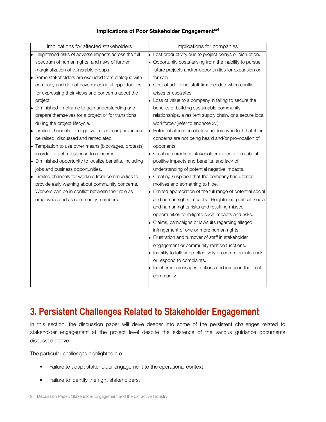#### **Implications of Poor Stakeholder Engagement[xvi](#page-28-14)**

| Implications for affected stakeholders                             | Implications for companies                                   |
|--------------------------------------------------------------------|--------------------------------------------------------------|
| • Heightened risks of adverse impacts across the full              | • Lost productivity due to project delays or disruption.     |
| spectrum of human rights, and risks of further                     | • Opportunity costs arising from the inability to pursue     |
| marginalization of vulnerable groups.                              | future projects and/or opportunities for expansion or        |
| • Some stakeholders are excluded from dialogue with                | for sale.                                                    |
| company and do not have meaningful opportunities                   | • Cost of additional staff time needed when conflict         |
| for expressing their views and concerns about the                  | arises or escalates.                                         |
| project.                                                           | • Loss of value to a company in failing to secure the        |
| • Diminished timeframe to gain understanding and                   | benefits of building sustainable community                   |
| prepare themselves for a project or for transitions                | relationships, a resilient supply chain, or a secure local   |
| during the project lifecycle.                                      | workforce.*(refer to endnote xvi)                            |
| • Limited channels for negative impacts or grievances to $\bullet$ | Potential alienation of stakeholders who feel that their     |
| be raised, discussed and remediated.                               | concerns are not being heard and/or provocation of           |
| • Temptation to use other means (blockages, protests)              | opponents.                                                   |
| in order to get a response to concerns.                            | • Creating unrealistic stakeholder expectations about        |
| • Diminished opportunity to localize benefits, including           | positive impacts and benefits, and lack of                   |
| jobs and business opportunities.                                   | understanding of potential negative impacts.                 |
| • Limited channels for workers from communities to                 | • Creating suspicion that the company has ulterior           |
| provide early warning about community concerns.                    | motives and something to hide.                               |
| Workers can be in conflict between their role as                   | • Limited appreciation of the full range of potential social |
| employees and as community members.                                | and human rights impacts. Heightened political, social       |
|                                                                    | and human rights risks and resulting missed                  |
|                                                                    | opportunities to mitigate such impacts and risks.            |
|                                                                    | • Claims, campaigns or lawsuits regarding alleged            |
|                                                                    | infringement of one or more human rights.                    |
|                                                                    | Frustration and turnover of staff in stakeholder             |
|                                                                    | engagement or community relation functions.                  |
|                                                                    | • Inability to follow-up effectively on commitments and/     |
|                                                                    | or respond to complaints.                                    |
|                                                                    | • Incoherent messages, actions and image in the local        |
|                                                                    | community.                                                   |
|                                                                    |                                                              |

# **3. Persistent Challenges Related to Stakeholder Engagement**

In this section, the discussion paper will delve deeper into some of the persistent challenges related to stakeholder engagement at the project level despite the existence of the various guidance documents discussed above.

The particular challenges highlighted are:

- Failure to adapt stakeholder engagement to the operational context.
- Failure to identify the right stakeholders.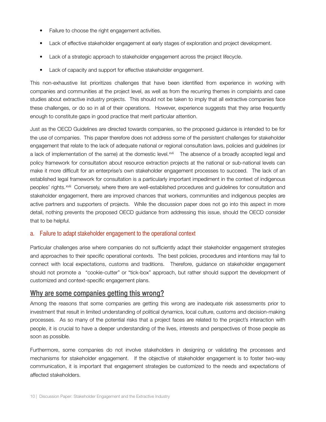- Failure to choose the right engagement activities.
- Lack of effective stakeholder engagement at early stages of exploration and project development.
- Lack of a strategic approach to stakeholder engagement across the project lifecycle.
- Lack of capacity and support for effective stakeholder engagement.

This non-exhaustive list prioritizes challenges that have been identified from experience in working with companies and communities at the project level, as well as from the recurring themes in complaints and case studies about extractive industry projects. This should not be taken to imply that all extractive companies face these challenges, or do so in all of their operations. However, experience suggests that they arise frequently enough to constitute gaps in good practice that merit particular attention.

Just as the OECD Guidelines are directed towards companies, so the proposed guidance is intended to be for the use of companies. This paper therefore does not address some of the persistent challenges for stakeholder engagement that relate to the lack of adequate national or regional consultation laws, policies and guidelines (or a lack of implementation of the same) at the domestic level.<sup>xvii</sup> The absence of a broadly accepted legal and policy framework for consultation about resource extraction projects at the national or sub-national levels can make it more difficult for an enterprise's own stakeholder engagement processes to succeed. The lack of an established legal framework for consultation is a particularly important impediment in the context of indigenous peoples' rights.<sup>xviii</sup> Conversely, where there are well-established procedures and guidelines for consultation and stakeholder engagement, there are improved chances that workers, communities and indigenous peoples are active partners and supporters of projects. While the discussion paper does not go into this aspect in more detail, nothing prevents the proposed OECD guidance from addressing this issue, should the OECD consider that to be helpful.

#### a. Failure to adapt stakeholder engagement to the operational context

Particular challenges arise where companies do not sufficiently adapt their stakeholder engagement strategies and approaches to their specific operational contexts. The best policies, procedures and intentions may fail to connect with local expectations, customs and traditions. Therefore, guidance on stakeholder engagement should not promote a "cookie-cutter" or "tick-box" approach, but rather should support the development of customized and context-specific engagement plans.

#### **Why are some companies getting this wrong?**

Among the reasons that some companies are getting this wrong are inadequate risk assessments prior to investment that result in limited understanding of political dynamics, local culture, customs and decision-making processes. As so many of the potential risks that a project faces are related to the project's interaction with people, it is crucial to have a deeper understanding of the lives, interests and perspectives of those people as soon as possible.

Furthermore, some companies do not involve stakeholders in designing or validating the processes and mechanisms for stakeholder engagement. If the objective of stakeholder engagement is to foster two-way communication, it is important that engagement strategies be customized to the needs and expectations of affected stakeholders.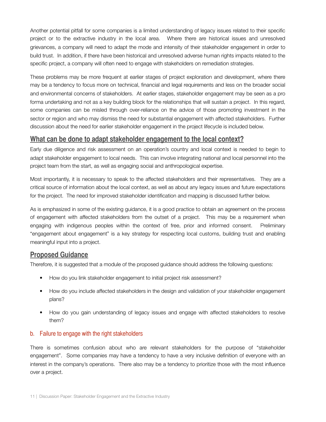Another potential pitfall for some companies is a limited understanding of legacy issues related to their specific project or to the extractive industry in the local area. Where there are historical issues and unresolved grievances, a company will need to adapt the mode and intensity of their stakeholder engagement in order to build trust. In addition, if there have been historical and unresolved adverse human rights impacts related to the specific project, a company will often need to engage with stakeholders on remediation strategies.

These problems may be more frequent at earlier stages of project exploration and development, where there may be a tendency to focus more on technical, financial and legal requirements and less on the broader social and environmental concerns of stakeholders. At earlier stages, stakeholder engagement may be seen as a pro forma undertaking and not as a key building block for the relationships that will sustain a project. In this regard, some companies can be misled through over-reliance on the advice of those promoting investment in the sector or region and who may dismiss the need for substantial engagement with affected stakeholders. Further discussion about the need for earlier stakeholder engagement in the project lifecycle is included below.

# **What can be done to adapt stakeholder engagement to the local context?**

Early due diligence and risk assessment on an operation's country and local context is needed to begin to adapt stakeholder engagement to local needs. This can involve integrating national and local personnel into the project team from the start, as well as engaging social and anthropological expertise.

Most importantly, it is necessary to speak to the affected stakeholders and their representatives. They are a critical source of information about the local context, as well as about any legacy issues and future expectations for the project. The need for improved stakeholder identification and mapping is discussed further below.

As is emphasized in some of the existing guidance, it is a good practice to obtain an agreement on the process of engagement with affected stakeholders from the outset of a project. This may be a requirement when engaging with indigenous peoples within the context of free, prior and informed consent. Preliminary "engagement about engagement" is a key strategy for respecting local customs, building trust and enabling meaningful input into a project.

#### **Proposed Guidance**

Therefore, it is suggested that a module of the proposed guidance should address the following questions:

- How do you link stakeholder engagement to initial project risk assessment?
- How do you include affected stakeholders in the design and validation of your stakeholder engagement plans?
- How do you gain understanding of legacy issues and engage with affected stakeholders to resolve them?

#### b. Failure to engage with the right stakeholders

There is sometimes confusion about who are relevant stakeholders for the purpose of "stakeholder engagement". Some companies may have a tendency to have a very inclusive definition of everyone with an interest in the company's operations. There also may be a tendency to prioritize those with the most influence over a project.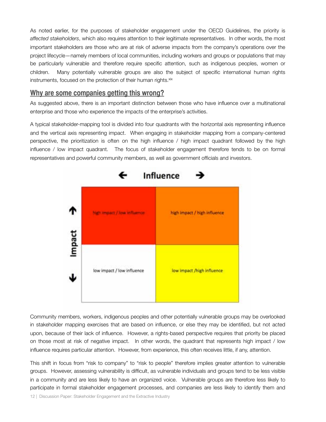As noted earlier, for the purposes of stakeholder engagement under the OECD Guidelines, the priority is *affected stakeholders*, which also requires attention to their legitimate representatives. In other words, the most important stakeholders are those who are at risk of adverse impacts from the company's operations over the project lifecycle—namely members of local communities, including workers and groups or populations that may be particularly vulnerable and therefore require specific attention, such as indigenous peoples, women or children. Many potentially vulnerable groups are also the subject of specific international human rights instruments, focused on the protection of their human rights.<sup>xix</sup>

# **Why are some companies getting this wrong?**

As suggested above, there is an important distinction between those who have influence over a multinational enterprise and those who experience the impacts of the enterprise's activities.

A typical stakeholder-mapping tool is divided into four quadrants with the horizontal axis representing influence and the vertical axis representing impact. When engaging in stakeholder mapping from a company-centered perspective, the prioritization is often on the high influence / high impact quadrant followed by the high influence / low impact quadrant. The focus of stakeholder engagement therefore tends to be on formal representatives and powerful community members, as well as government officials and investors.



Community members, workers, indigenous peoples and other potentially vulnerable groups may be overlooked in stakeholder mapping exercises that are based on influence, or else they may be identified, but not acted upon, because of their lack of influence. However, a rights-based perspective requires that priority be placed on those most at risk of negative impact. In other words, the quadrant that represents high impact / low influence requires particular attention. However, from experience, this often receives little, if any, attention.

This shift in focus from "risk to company" to "risk to people" therefore implies greater attention to vulnerable groups. However, assessing vulnerability is difficult, as vulnerable individuals and groups tend to be less visible in a community and are less likely to have an organized voice. Vulnerable groups are therefore less likely to participate in formal stakeholder engagement processes, and companies are less likely to identify them and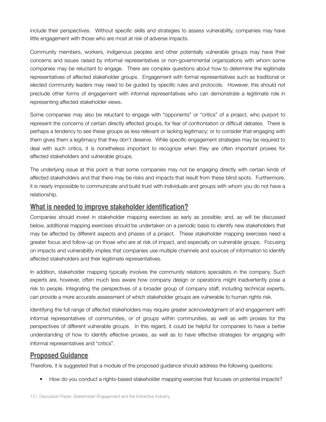include their perspectives. Without specific skills and strategies to assess vulnerability, companies may have little engagement with those who are most at risk of adverse impacts.

Community members, workers, indigenous peoples and other potentially vulnerable groups may have their concerns and issues raised by informal representatives or non-governmental organizations with whom some companies may be reluctant to engage. There are complex questions about how to determine the legitimate representatives of affected stakeholder groups. Engagement with formal representatives such as traditional or elected community leaders may need to be guided by specific rules and protocols. However, this should not preclude other forms of engagement with informal representatives who can demonstrate a legitimate role in representing affected stakeholder views.

Some companies may also be reluctant to engage with "opponents" or "critics" of a project, who purport to represent the concerns of certain directly affected groups, for fear of confrontation or difficult debates. There is perhaps a tendency to see these groups as less relevant or lacking legitimacy; or to consider that engaging with them gives them a legitimacy that they don't deserve. While specific engagement strategies may be required to deal with such critics, it is nonetheless important to recognize when they are often important proxies for affected stakeholders and vulnerable groups.

The underlying issue at this point is that some companies may not be engaging directly with certain kinds of affected stakeholders and that there may be risks and impacts that result from these blind spots. Furthermore, it is nearly impossible to communicate and build trust with individuals and groups with whom you do not have a relationship.

### **What is needed to improve stakeholder identification?**

Companies should invest in stakeholder mapping exercises as early as possible; and, as will be discussed below, additional mapping exercises should be undertaken on a periodic basis to identify new stakeholders that may be affected by different aspects and phases of a project. These stakeholder mapping exercises need a greater focus and follow-up on those who are at risk of impact, and especially on vulnerable groups. Focusing on impacts and vulnerability implies that companies use multiple channels and sources of information to identify affected stakeholders and their legitimate representatives.

In addition, stakeholder mapping typically involves the community relations specialists in the company. Such experts are, however, often much less aware how company design or operations might inadvertently pose a risk to people. Integrating the perspectives of a broader group of company staff, including technical experts, can provide a more accurate assessment of which stakeholder groups are vulnerable to human rights risk.

Identifying the full range of affected stakeholders may require greater acknowledgment of and engagement with informal representatives of communities, or of groups within communities, as well as with proxies for the perspectives of different vulnerable groups. In this regard, it could be helpful for companies to have a better understanding of how to identify effective proxies, as well as to have effective strategies for engaging with informal representatives and "critics".

## **Proposed Guidance**

Therefore, it is suggested that a module of the proposed guidance should address the following questions:

• How do you conduct a rights-based stakeholder mapping exercise that focuses on potential impacts?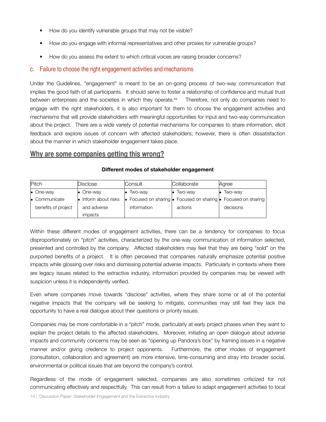- How do you identify vulnerable groups that may not be visible?
- How do you engage with informal representatives and other proxies for vulnerable groups?
- How do you assess the extent to which critical voices are raising broader concerns?

#### c. Failure to choose the right engagement activities and mechanisms

Under the Guidelines, "engagement" is meant to be an on-going process of two-way communication that implies the good faith of all participants. It should serve to foster a relationship of confidence and mutual trust between enterprises and the societies in which they operate.<sup>xx</sup> Therefore, not only do companies need to engage with the right stakeholders, it is also important for them to choose the engagement activities and mechanisms that will provide stakeholders with meaningful opportunities for input and two-way communication about the project. There are a wide variety of potential mechanisms for companies to share information, elicit feedback and explore issues of concern with affected stakeholders; however, there is often dissatisfaction about the manner in which stakeholder engagement takes place.

#### **Why are some companies getting this wrong?**

| Pitch |                       | Disclose |                    | <b>Consult</b> |                   | Collaborate |                   |  | Agree                                                                          |  |
|-------|-----------------------|----------|--------------------|----------------|-------------------|-------------|-------------------|--|--------------------------------------------------------------------------------|--|
|       | $\bullet$ One-way     |          | $\bullet$ One-way  |                | $\bullet$ Two-way |             | $\bullet$ Two-way |  | $\bullet$ Two-way                                                              |  |
|       | $\bullet$ Communicate |          | Inform about risks |                |                   |             |                   |  | • Focused on sharing $\bullet$ Focused on sharing $\bullet$ Focused on sharing |  |
|       | benefits of project   |          | and adverse        |                | information       |             | actions           |  | decisions                                                                      |  |
|       |                       |          | <i>impacts</i>     |                |                   |             |                   |  |                                                                                |  |

#### **Different modes of stakeholder engagement**

Within these different modes of engagement activities, there can be a tendency for companies to focus disproportionately on "pitch" activities, characterized by the one-way communication of information selected, presented and controlled by the company. Affected stakeholders may feel that they are being "sold" on the purported benefits of a project. It is often perceived that companies naturally emphasize potential positive impacts while glossing over risks and dismissing potential adverse impacts. Particularly in contexts where there are legacy issues related to the extractive industry, information provided by companies may be viewed with suspicion unless it is independently verified.

Even where companies move towards "disclose" activities, where they share some or all of the potential negative impacts that the company will be seeking to mitigate, communities may still feel they lack the opportunity to have a real dialogue about their questions or priority issues.

Companies may be more comfortable in a "pitch" mode, particularly at early project phases when they want to explain the project details to the affected stakeholders. Moreover, initiating an open dialogue about adverse impacts and community concerns may be seen as "opening up Pandora's box" by framing issues in a negative manner and/or giving credence to project opponents. Furthermore, the other modes of engagement (consultation, collaboration and agreement) are more intensive, time-consuming and stray into broader social, environmental or political issues that are beyond the company's control.

Regardless of the mode of engagement selected, companies are also sometimes criticized for not communicating effectively and respectfully. This can result from a failure to adapt engagement activities to local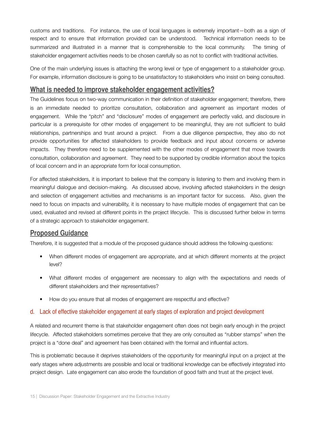customs and traditions. For instance, the use of local languages is extremely important—both as a sign of respect and to ensure that information provided can be understood. Technical information needs to be summarized and illustrated in a manner that is comprehensible to the local community. The timing of stakeholder engagement activities needs to be chosen carefully so as not to conflict with traditional activities.

One of the main underlying issues is attaching the wrong level or type of engagement to a stakeholder group. For example, information disclosure is going to be unsatisfactory to stakeholders who insist on being consulted.

# **What is needed to improve stakeholder engagement activities?**

The Guidelines focus on two-way communication in their definition of stakeholder engagement; therefore, there is an immediate needed to prioritize consultation, collaboration and agreement as important modes of engagement. While the "pitch" and "disclosure" modes of engagement are perfectly valid, and disclosure in particular is a prerequisite for other modes of engagement to be meaningful, they are not sufficient to build relationships, partnerships and trust around a project. From a due diligence perspective, they also do not provide opportunities for affected stakeholders to provide feedback and input about concerns or adverse impacts. They therefore need to be supplemented with the other modes of engagement that move towards consultation, collaboration and agreement. They need to be supported by credible information about the topics of local concern and in an appropriate form for local consumption.

For affected stakeholders, it is important to believe that the company is listening to them and involving them in meaningful dialogue and decision-making. As discussed above, involving affected stakeholders in the design and selection of engagement activities and mechanisms is an important factor for success. Also, given the need to focus on impacts and vulnerability, it is necessary to have multiple modes of engagement that can be used, evaluated and revised at different points in the project lifecycle. This is discussed further below in terms of a strategic approach to stakeholder engagement.

## **Proposed Guidance**

Therefore, it is suggested that a module of the proposed guidance should address the following questions:

- When different modes of engagement are appropriate, and at which different moments at the project level?
- What different modes of engagement are necessary to align with the expectations and needs of different stakeholders and their representatives?
- How do you ensure that all modes of engagement are respectful and effective?

#### d. Lack of effective stakeholder engagement at early stages of exploration and project development

A related and recurrent theme is that stakeholder engagement often does not begin early enough in the project lifecycle. Affected stakeholders sometimes perceive that they are only consulted as "rubber stamps" when the project is a "done deal" and agreement has been obtained with the formal and influential actors.

This is problematic because it deprives stakeholders of the opportunity for meaningful input on a project at the early stages where adjustments are possible and local or traditional knowledge can be effectively integrated into project design. Late engagement can also erode the foundation of good faith and trust at the project level.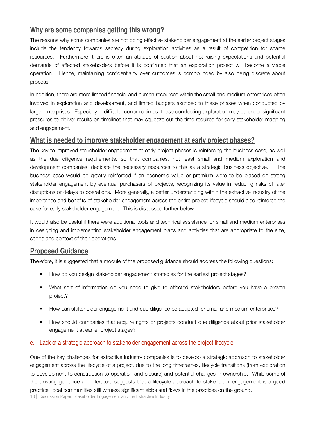# **Why are some companies getting this wrong?**

The reasons why some companies are not doing effective stakeholder engagement at the earlier project stages include the tendency towards secrecy during exploration activities as a result of competition for scarce resources. Furthermore, there is often an attitude of caution about not raising expectations and potential demands of affected stakeholders before it is confirmed that an exploration project will become a viable operation. Hence, maintaining confidentiality over outcomes is compounded by also being discrete about process.

In addition, there are more limited financial and human resources within the small and medium enterprises often involved in exploration and development, and limited budgets ascribed to these phases when conducted by larger enterprises. Especially in difficult economic times, those conducting exploration may be under significant pressures to deliver results on timelines that may squeeze out the time required for early stakeholder mapping and engagement.

### **What is needed to improve stakeholder engagement at early project phases?**

The key to improved stakeholder engagement at early project phases is reinforcing the business case, as well as the due diligence requirements, so that companies, not least small and medium exploration and development companies, dedicate the necessary resources to this as a strategic business objective. The business case would be greatly reinforced if an economic value or premium were to be placed on strong stakeholder engagement by eventual purchasers of projects, recognizing its value in reducing risks of later disruptions or delays to operations. More generally, a better understanding within the extractive industry of the importance and benefits of stakeholder engagement across the entire project lifecycle should also reinforce the case for early stakeholder engagement. This is discussed further below.

It would also be useful if there were additional tools and technical assistance for small and medium enterprises in designing and implementing stakeholder engagement plans and activities that are appropriate to the size, scope and context of their operations.

# **Proposed Guidance**

Therefore, it is suggested that a module of the proposed guidance should address the following questions:

- How do you design stakeholder engagement strategies for the earliest project stages?
- What sort of information do you need to give to affected stakeholders before you have a proven project?
- How can stakeholder engagement and due diligence be adapted for small and medium enterprises?
- How should companies that acquire rights or projects conduct due diligence about prior stakeholder engagement at earlier project stages?

#### e. Lack of a strategic approach to stakeholder engagement across the project lifecycle

One of the key challenges for extractive industry companies is to develop a strategic approach to stakeholder engagement across the lifecycle of a project, due to the long timeframes, lifecycle transitions (from exploration to development to construction to operation and closure) and potential changes in ownership. While some of the existing guidance and literature suggests that a lifecycle approach to stakeholder engagement is a good practice, local communities still witness significant ebbs and flows in the practices on the ground.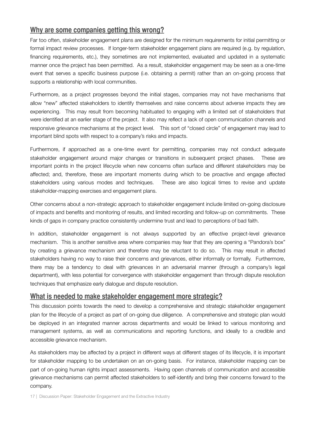# **Why are some companies getting this wrong?**

Far too often, stakeholder engagement plans are designed for the minimum requirements for initial permitting or formal impact review processes. If longer-term stakeholder engagement plans are required (e.g. by regulation, financing requirements, etc.), they sometimes are not implemented, evaluated and updated in a systematic manner once the project has been permitted. As a result, stakeholder engagement may be seen as a one-time event that serves a specific business purpose (i.e. obtaining a permit) rather than an on-going process that supports a relationship with local communities.

Furthermore, as a project progresses beyond the initial stages, companies may not have mechanisms that allow "new" affected stakeholders to identify themselves and raise concerns about adverse impacts they are experiencing. This may result from becoming habituated to engaging with a limited set of stakeholders that were identified at an earlier stage of the project. It also may reflect a lack of open communication channels and responsive grievance mechanisms at the project level. This sort of "closed circle" of engagement may lead to important blind spots with respect to a company's risks and impacts.

Furthermore, if approached as a one-time event for permitting, companies may not conduct adequate stakeholder engagement around major changes or transitions in subsequent project phases. These are important points in the project lifecycle when new concerns often surface and different stakeholders may be affected; and, therefore, these are important moments during which to be proactive and engage affected stakeholders using various modes and techniques. These are also logical times to revise and update stakeholder-mapping exercises and engagement plans.

Other concerns about a non-strategic approach to stakeholder engagement include limited on-going disclosure of impacts and benefits and monitoring of results, and limited recording and follow-up on commitments. These kinds of gaps in company practice consistently undermine trust and lead to perceptions of bad faith.

In addition, stakeholder engagement is not always supported by an effective project-level grievance mechanism. This is another sensitive area where companies may fear that they are opening a "Pandora's box" by creating a grievance mechanism and therefore may be reluctant to do so. This may result in affected stakeholders having no way to raise their concerns and grievances, either informally or formally. Furthermore, there may be a tendency to deal with grievances in an adversarial manner (through a company's legal department), with less potential for convergence with stakeholder engagement than through dispute resolution techniques that emphasize early dialogue and dispute resolution.

## **What is needed to make stakeholder engagement more strategic?**

This discussion points towards the need to develop a comprehensive and strategic stakeholder engagement plan for the lifecycle of a project as part of on-going due diligence. A comprehensive and strategic plan would be deployed in an integrated manner across departments and would be linked to various monitoring and management systems, as well as communications and reporting functions, and ideally to a credible and accessible grievance mechanism.

As stakeholders may be affected by a project in different ways at different stages of its lifecycle, it is important for stakeholder mapping to be undertaken on an on-going basis. For instance, stakeholder mapping can be part of on-going human rights impact assessments. Having open channels of communication and accessible grievance mechanisms can permit affected stakeholders to self-identify and bring their concerns forward to the company.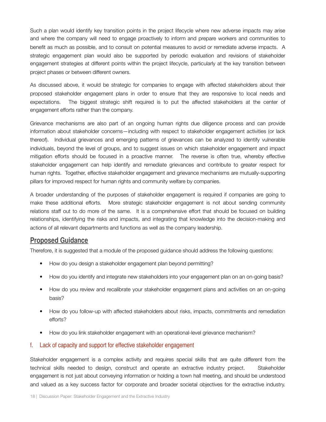Such a plan would identify key transition points in the project lifecycle where new adverse impacts may arise and where the company will need to engage proactively to inform and prepare workers and communities to benefit as much as possible, and to consult on potential measures to avoid or remediate adverse impacts. A strategic engagement plan would also be supported by periodic evaluation and revisions of stakeholder engagement strategies at different points within the project lifecycle, particularly at the key transition between project phases or between different owners.

As discussed above, it would be strategic for companies to engage with affected stakeholders about their proposed stakeholder engagement plans in order to ensure that they are responsive to local needs and expectations. The biggest strategic shift required is to put the affected stakeholders at the center of engagement efforts rather than the company.

Grievance mechanisms are also part of an ongoing human rights due diligence process and can provide information about stakeholder concerns—including with respect to stakeholder engagement activities (or lack thereof). Individual grievances and emerging patterns of grievances can be analyzed to identify vulnerable individuals, beyond the level of groups, and to suggest issues on which stakeholder engagement and impact mitigation efforts should be focused in a proactive manner. The reverse is often true, whereby effective stakeholder engagement can help identify and remediate grievances and contribute to greater respect for human rights. Together, effective stakeholder engagement and grievance mechanisms are mutually-supporting pillars for improved respect for human rights and community welfare by companies.

A broader understanding of the purposes of stakeholder engagement is required if companies are going to make these additional efforts. More strategic stakeholder engagement is not about sending community relations staff out to do more of the same. It is a comprehensive effort that should be focused on building relationships, identifying the risks and impacts, and integrating that knowledge into the decision-making and actions of all relevant departments and functions as well as the company leadership.

#### **Proposed Guidance**

Therefore, it is suggested that a module of the proposed guidance should address the following questions:

- How do you design a stakeholder engagement plan beyond permitting?
- How do you identify and integrate new stakeholders into your engagement plan on an on-going basis?
- How do you review and recalibrate your stakeholder engagement plans and activities on an on-going basis?
- How do you follow-up with affected stakeholders about risks, impacts, commitments and remediation efforts?
- How do you link stakeholder engagement with an operational-level grievance mechanism?

#### f. Lack of capacity and support for effective stakeholder engagement

Stakeholder engagement is a complex activity and requires special skills that are quite different from the technical skills needed to design, construct and operate an extractive industry project. Stakeholder engagement is not just about conveying information or holding a town hall meeting, and should be understood and valued as a key success factor for corporate and broader societal objectives for the extractive industry.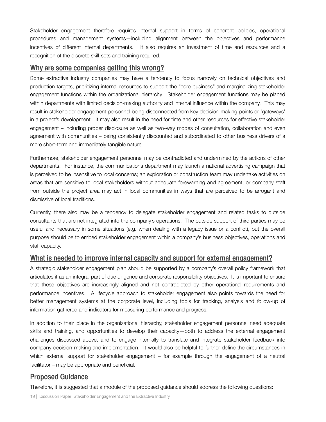Stakeholder engagement therefore requires internal support in terms of coherent policies, operational procedures and management systems—including alignment between the objectives and performance incentives of different internal departments. It also requires an investment of time and resources and a recognition of the discrete skill-sets and training required.

## **Why are some companies getting this wrong?**

Some extractive industry companies may have a tendency to focus narrowly on technical objectives and production targets, prioritizing internal resources to support the "core business" and marginalizing stakeholder engagement functions within the organizational hierarchy. Stakeholder engagement functions may be placed within departments with limited decision-making authority and internal influence within the company. This may result in stakeholder engagement personnel being disconnected from key decision-making points or 'gateways' in a project's development. It may also result in the need for time and other resources for effective stakeholder engagement – including proper disclosure as well as two-way modes of consultation, collaboration and even agreement with communities – being consistently discounted and subordinated to other business drivers of a more short-term and immediately tangible nature.

Furthermore, stakeholder engagement personnel may be contradicted and undermined by the actions of other departments. For instance, the communications department may launch a national advertising campaign that is perceived to be insensitive to local concerns; an exploration or construction team may undertake activities on areas that are sensitive to local stakeholders without adequate forewarning and agreement; or company staff from outside the project area may act in local communities in ways that are perceived to be arrogant and dismissive of local traditions.

Currently, there also may be a tendency to delegate stakeholder engagement and related tasks to outside consultants that are not integrated into the company's operations. The outside support of third parties may be useful and necessary in some situations (e.g. when dealing with a legacy issue or a conflict), but the overall purpose should be to embed stakeholder engagement within a company's business objectives, operations and staff capacity.

## **What is needed to improve internal capacity and support for external engagement?**

A strategic stakeholder engagement plan should be supported by a company's overall policy framework that articulates it as an integral part of due diligence and corporate responsibility objectives. It is important to ensure that these objectives are increasingly aligned and not contradicted by other operational requirements and performance incentives. A lifecycle approach to stakeholder engagement also points towards the need for better management systems at the corporate level, including tools for tracking, analysis and follow-up of information gathered and indicators for measuring performance and progress.

In addition to their place in the organizational hierarchy, stakeholder engagement personnel need adequate skills and training, and opportunities to develop their capacity—both to address the external engagement challenges discussed above, and to engage internally to translate and integrate stakeholder feedback into company decision-making and implementation. It would also be helpful to further define the circumstances in which external support for stakeholder engagement – for example through the engagement of a neutral facilitator – may be appropriate and beneficial.

## **Proposed Guidance**

Therefore, it is suggested that a module of the proposed guidance should address the following questions: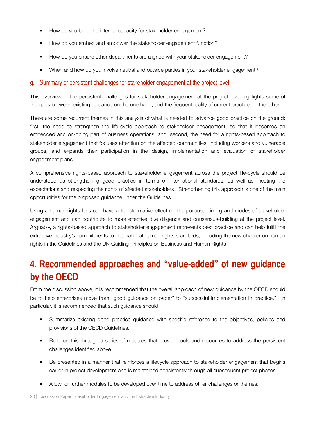- How do you build the internal capacity for stakeholder engagement?
- How do you embed and empower the stakeholder engagement function?
- How do you ensure other departments are aligned with your stakeholder engagement?
- When and how do you involve neutral and outside parties in your stakeholder engagement?

#### g. Summary of persistent challenges for stakeholder engagement at the project level

This overview of the persistent challenges for stakeholder engagement at the project level highlights some of the gaps between existing guidance on the one hand, and the frequent reality of current practice on the other.

There are some recurrent themes in this analysis of what is needed to advance good practice on the ground: first, the need to strengthen the life-cycle approach to stakeholder engagement, so that it becomes an embedded and on-going part of business operations; and, second, the need for a rights-based approach to stakeholder engagement that focuses attention on the affected communities, including workers and vulnerable groups, and expands their participation in the design, implementation and evaluation of stakeholder engagement plans.

A comprehensive rights-based approach to stakeholder engagement across the project life-cycle should be understood as strengthening good practice in terms of international standards, as well as meeting the expectations and respecting the rights of affected stakeholders. Strengthening this approach is one of the main opportunities for the proposed guidance under the Guidelines.

Using a human rights lens can have a transformative effect on the purpose, timing and modes of stakeholder engagement and can contribute to more effective due diligence and consensus-building at the project level. Arguably, a rights-based approach to stakeholder engagement represents best practice and can help fulfill the extractive industry's commitments to international human rights standards, including the new chapter on human rights in the Guidelines and the UN Guiding Principles on Business and Human Rights.

# **4. Recommended approaches and "value-added" of new guidance by the OECD**

From the discussion above, it is recommended that the overall approach of new guidance by the OECD should be to help enterprises move from "good guidance on paper" to "successful implementation in practice." In particular, it is recommended that such guidance should:

- Summarize existing good practice guidance with specific reference to the objectives, policies and provisions of the OECD Guidelines.
- Build on this through a series of modules that provide tools and resources to address the persistent challenges identified above.
- Be presented in a manner that reinforces a lifecycle approach to stakeholder engagement that begins earlier in project development and is maintained consistently through all subsequent project phases.
- Allow for further modules to be developed over time to address other challenges or themes.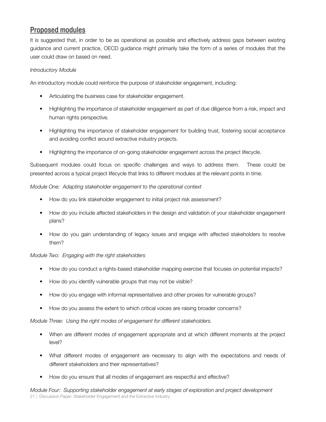# **Proposed modules**

It is suggested that, in order to be as operational as possible and effectively address gaps between existing guidance and current practice, OECD guidance might primarily take the form of a series of modules that the user could draw on based on need.

#### *Introductory Module*

An introductory module could reinforce the purpose of stakeholder engagement, including:

- Articulating the business case for stakeholder engagement.
- Highlighting the importance of stakeholder engagement as part of due diligence from a risk, impact and human rights perspective.
- Highlighting the importance of stakeholder engagement for building trust, fostering social acceptance and avoiding conflict around extractive industry projects.
- Highlighting the importance of on-going stakeholder engagement across the project lifecycle.

Subsequent modules could focus on specific challenges and ways to address them. These could be presented across a typical project lifecycle that links to different modules at the relevant points in time.

#### *Module One: Adapting stakeholder engagement to the operational context*

- How do you link stakeholder engagement to initial project risk assessment?
- How do you include affected stakeholders in the design and validation of your stakeholder engagement plans?
- How do you gain understanding of legacy issues and engage with affected stakeholders to resolve them?

#### *Module Two: Engaging with the right stakeholders*

- How do you conduct a rights-based stakeholder mapping exercise that focuses on potential impacts?
- How do you identify vulnerable groups that may not be visible?
- How do you engage with informal representatives and other proxies for vulnerable groups?
- How do you assess the extent to which critical voices are raising broader concerns?

#### *Module Three: Using the right modes of engagement for different stakeholders.*

- When are different modes of engagement appropriate and at which different moments at the project level?
- What different modes of engagement are necessary to align with the expectations and needs of different stakeholders and their representatives?
- How do you ensure that all modes of engagement are respectful and effective?

*Module Four: Supporting stakeholder engagement at early stages of exploration and project development* 21 | Discussion Paper: Stakeholder Engagement and the Extractive Industry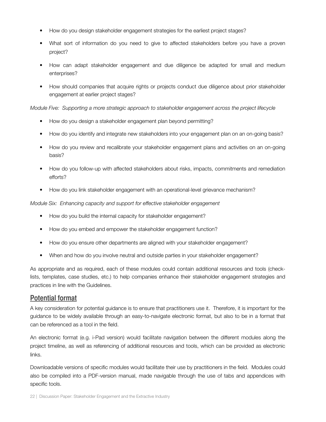- How do you design stakeholder engagement strategies for the earliest project stages?
- What sort of information do you need to give to affected stakeholders before you have a proven project?
- How can adapt stakeholder engagement and due diligence be adapted for small and medium enterprises?
- How should companies that acquire rights or projects conduct due diligence about prior stakeholder engagement at earlier project stages?

#### *Module Five: Supporting a more strategic approach to stakeholder engagement across the project lifecycle*

- How do you design a stakeholder engagement plan beyond permitting?
- How do you identify and integrate new stakeholders into your engagement plan on an on-going basis?
- How do you review and recalibrate your stakeholder engagement plans and activities on an on-going basis?
- How do you follow-up with affected stakeholders about risks, impacts, commitments and remediation efforts?
- How do you link stakeholder engagement with an operational-level grievance mechanism?

#### *Module Six: Enhancing capacity and support for effective stakeholder engagement*

- How do you build the internal capacity for stakeholder engagement?
- How do you embed and empower the stakeholder engagement function?
- How do you ensure other departments are aligned with your stakeholder engagement?
- When and how do you involve neutral and outside parties in your stakeholder engagement?

As appropriate and as required, each of these modules could contain additional resources and tools (checklists, templates, case studies, etc.) to help companies enhance their stakeholder engagement strategies and practices in line with the Guidelines.

#### **Potential format**

A key consideration for potential guidance is to ensure that practitioners use it. Therefore, it is important for the guidance to be widely available through an easy-to-navigate electronic format, but also to be in a format that can be referenced as a tool in the field.

An electronic format (e.g. i-Pad version) would facilitate navigation between the different modules along the project timeline, as well as referencing of additional resources and tools, which can be provided as electronic links.

Downloadable versions of specific modules would facilitate their use by practitioners in the field. Modules could also be compiled into a PDF-version manual, made navigable through the use of tabs and appendices with specific tools.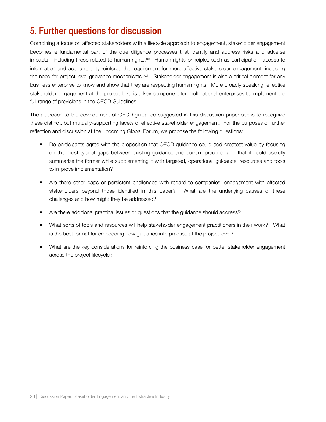# **5. Further questions for discussion**

Combining a focus on affected stakeholders with a lifecycle approach to engagement, stakeholder engagement becomes a fundamental part of the due diligence processes that identify and address risks and adverse  $impacts—including those related to human rights.  $xd$  Human rights principles such as participation, access to$ information and accountability reinforce the requirement for more effective stakeholder engagement, including the need for project-level grievance mechanisms.<sup>xxii</sup> Stakeholder engagement is also a critical element for any business enterprise to know and show that they are respecting human rights. More broadly speaking, effective stakeholder engagement at the project level is a key component for multinational enterprises to implement the full range of provisions in the OECD Guidelines.

The approach to the development of OECD guidance suggested in this discussion paper seeks to recognize these distinct, but mutually-supporting facets of effective stakeholder engagement. For the purposes of further reflection and discussion at the upcoming Global Forum, we propose the following questions:

- Do participants agree with the proposition that OECD guidance could add greatest value by focusing on the most typical gaps between existing guidance and current practice, and that it could usefully summarize the former while supplementing it with targeted, operational guidance, resources and tools to improve implementation?
- Are there other gaps or persistent challenges with regard to companies' engagement with affected stakeholders beyond those identified in this paper? What are the underlying causes of these challenges and how might they be addressed?
- Are there additional practical issues or questions that the guidance should address?
- What sorts of tools and resources will help stakeholder engagement practitioners in their work? What is the best format for embedding new guidance into practice at the project level?
- What are the key considerations for reinforcing the business case for better stakeholder engagement across the project lifecycle?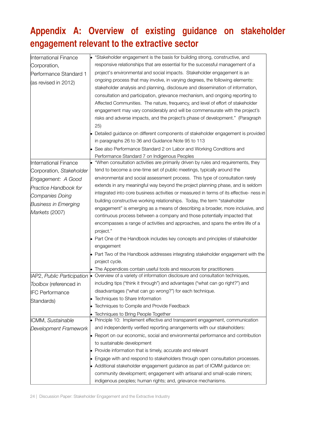# **Appendix A: Overview of existing guidance on stakeholder engagement relevant to the extractive sector**

| International Finance        |  | "Stakeholder engagement is the basis for building strong, constructive, and                                                                             |
|------------------------------|--|---------------------------------------------------------------------------------------------------------------------------------------------------------|
| Corporation,                 |  | responsive relationships that are essential for the successful management of a                                                                          |
| Performance Standard 1       |  | project's environmental and social impacts. Stakeholder engagement is an                                                                                |
| $\vert$ (as revised in 2012) |  | ongoing process that may involve, in varying degrees, the following elements:                                                                           |
|                              |  | stakeholder analysis and planning, disclosure and dissemination of information,                                                                         |
|                              |  | consultation and participation, grievance mechanism, and ongoing reporting to                                                                           |
|                              |  | Affected Communities. The nature, frequency, and level of effort of stakeholder                                                                         |
|                              |  | engagement may vary considerably and will be commensurate with the project's                                                                            |
|                              |  | risks and adverse impacts, and the project's phase of development." (Paragraph                                                                          |
|                              |  | 25)                                                                                                                                                     |
|                              |  | • Detailed guidance on different components of stakeholder engagement is provided                                                                       |
|                              |  | in paragraphs 26 to 36 and Guidance Note 95 to 113                                                                                                      |
|                              |  | • See also Performance Standard 2 on Labor and Working Conditions and                                                                                   |
|                              |  | Performance Standard 7 on Indigenous Peoples                                                                                                            |
| International Finance        |  | "When consultation activities are primarily driven by rules and requirements, they                                                                      |
| Corporation, Stakeholder     |  | tend to become a one-time set of public meetings, typically around the                                                                                  |
| Engagement: A Good           |  | environmental and social assessment process. This type of consultation rarely                                                                           |
| <b>Practice Handbook for</b> |  | extends in any meaningful way beyond the project planning phase, and is seldom                                                                          |
| Companies Doing              |  | integrated into core business activities or measured in terms of its effective- ness in                                                                 |
| <b>Business in Emerging</b>  |  | building constructive working relationships. Today, the term "stakeholder                                                                               |
| Markets (2007)               |  | engagement" is emerging as a means of describing a broader, more inclusive, and                                                                         |
|                              |  | continuous process between a company and those potentially impacted that                                                                                |
|                              |  | encompasses a range of activities and approaches, and spans the entire life of a                                                                        |
|                              |  | project."                                                                                                                                               |
|                              |  | • Part One of the Handbook includes key concepts and principles of stakeholder                                                                          |
|                              |  | engagement                                                                                                                                              |
|                              |  | • Part Two of the Handbook addresses integrating stakeholder engagement with the                                                                        |
|                              |  | project cycle.                                                                                                                                          |
|                              |  | • The Appendices contain useful tools and resources for practitioners<br>• Overview of a variety of information disclosure and consultation techniques, |
| IAP2, Public Participation   |  | including tips ("think it through") and advantages ("what can go right?") and                                                                           |
| Toolbox (referenced in       |  |                                                                                                                                                         |
| <b>IFC Performance</b>       |  | disadvantages ("what can go wrong?") for each technique.                                                                                                |
| Standards)                   |  | Techniques to Share Information<br>Techniques to Compile and Provide Feedback                                                                           |
|                              |  |                                                                                                                                                         |
| ICMM, Sustainable            |  | Techniques to Bring People Together<br>$\bullet$ Principle 10: Implement effective and transparent engagement, communication                            |
| Development Framework        |  | and independently verified reporting arrangements with our stakeholders:                                                                                |
|                              |  | • Report on our economic, social and environmental performance and contribution                                                                         |
|                              |  | to sustainable development                                                                                                                              |
|                              |  | • Provide information that is timely, accurate and relevant                                                                                             |
|                              |  | • Engage with and respond to stakeholders through open consultation processes.                                                                          |
|                              |  | • Additional stakeholder engagement guidance as part of ICMM guidance on:                                                                               |
|                              |  | community development; engagement with artisanal and small-scale miners;                                                                                |
|                              |  | indigenous peoples; human rights; and, grievance mechanisms.                                                                                            |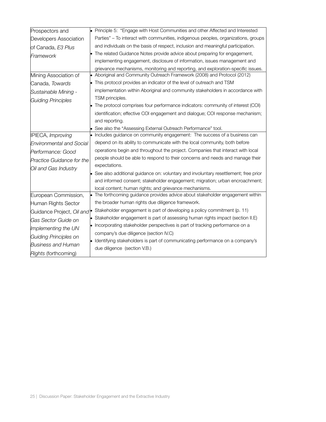| Prospectors and                        | $\bullet$ | Principle 5: "Engage with Host Communities and other Affected and Interested           |
|----------------------------------------|-----------|----------------------------------------------------------------------------------------|
| Developers Association                 |           | Parties" - To interact with communities, indigenous peoples, organizations, groups     |
| of Canada, E3 Plus                     |           | and individuals on the basis of respect, inclusion and meaningful participation.       |
| Framework                              |           | The related Guidance Notes provide advice about preparing for engagement,              |
|                                        |           | implementing engagement, disclosure of information, issues management and              |
|                                        |           | grievance mechanisms, monitoring and reporting, and exploration-specific issues.       |
| Mining Association of                  |           | Aboriginal and Community Outreach Framework (2008) and Protocol (2012)                 |
| Canada, Towards                        |           | This protocol provides an indicator of the level of outreach and TSM                   |
| Sustainable Mining -                   |           | implementation within Aboriginal and community stakeholders in accordance with         |
| <b>Guiding Principles</b>              |           | TSM principles.                                                                        |
|                                        |           | The protocol comprises four performance indicators: community of interest (COI)        |
|                                        |           | identification; effective COI engagement and dialogue; COI response mechanism;         |
|                                        |           | and reporting.                                                                         |
|                                        |           | See also the "Assessing External Outreach Performance" tool.                           |
| IPIECA, Improving                      |           | Includes guidance on community engagement: The success of a business can               |
| <b>Environmental and Social</b>        |           | depend on its ability to communicate with the local community, both before             |
| Performance: Good                      |           | operations begin and throughout the project. Companies that interact with local        |
| <b>Practice Guidance for the</b>       |           | people should be able to respond to their concerns and needs and manage their          |
| Oil and Gas Industry                   |           | expectations.                                                                          |
|                                        |           | See also additional guidance on: voluntary and involuntary resettlement; free prior    |
|                                        |           | and informed consent; stakeholder engagement; migration; urban encroachment;           |
|                                        |           | local content; human rights; and grievance mechanisms.                                 |
| European Commission,                   |           | The forthcoming guidance provides advice about stakeholder engagement within           |
| Human Rights Sector                    |           | the broader human rights due diligence framework.                                      |
| Guidance Project, Oil and <sup>®</sup> |           | Stakeholder engagement is part of developing a policy commitment (p. 11)               |
| Gas Sector Guide on                    | $\bullet$ | Stakeholder engagement is part of assessing human rights impact (section II.E)         |
| Implementing the UN                    |           | • Incorporating stakeholder perspectives is part of tracking performance on a          |
| Guiding Principles on                  |           | company's due diligence (section IV.C)                                                 |
| <b>Business and Human</b>              |           | $\bullet$ Identifying stakeholders is part of communicating performance on a company's |
| Rights (forthcoming)                   |           | due diligence (section V.B.)                                                           |
|                                        |           |                                                                                        |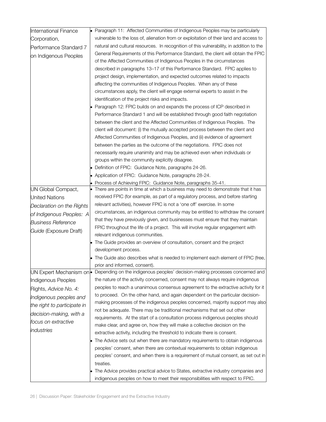| International Finance       | • Paragraph 11: Affected Communities of Indigenous Peoples may be particularly                                |
|-----------------------------|---------------------------------------------------------------------------------------------------------------|
| Corporation,                | vulnerable to the loss of, alienation from or exploitation of their land and access to                        |
| Performance Standard 7      | natural and cultural resources. In recognition of this vulnerability, in addition to the                      |
| on Indigenous Peoples       | General Requirements of this Performance Standard, the client will obtain the FPIC                            |
|                             | of the Affected Communities of Indigenous Peoples in the circumstances                                        |
|                             | described in paragraphs 13-17 of this Performance Standard. FPIC applies to                                   |
|                             | project design, implementation, and expected outcomes related to impacts                                      |
|                             | affecting the communities of Indigenous Peoples. When any of these                                            |
|                             | circumstances apply, the client will engage external experts to assist in the                                 |
|                             | identification of the project risks and impacts.                                                              |
|                             | • Paragraph 12: FPIC builds on and expands the process of ICP described in                                    |
|                             | Performance Standard 1 and will be established through good faith negotiation                                 |
|                             | between the client and the Affected Communities of Indigenous Peoples. The                                    |
|                             | client will document: (i) the mutually accepted process between the client and                                |
|                             | Affected Communities of Indigenous Peoples, and (ii) evidence of agreement                                    |
|                             | between the parties as the outcome of the negotiations. FPIC does not                                         |
|                             | necessarily require unanimity and may be achieved even when individuals or                                    |
|                             | groups within the community explicitly disagree.                                                              |
|                             | • Definition of FPIC: Guidance Note, paragraphs 24-26.                                                        |
|                             | • Application of FPIC: Guidance Note, paragraphs 28-24.                                                       |
|                             | Process of Achieving FPIC: Guidance Note, paragraphs 35-41.                                                   |
| UN Global Compact,          | There are points in time at which a business may need to demonstrate that it has                              |
| United Nations              | received FPIC (for example, as part of a regulatory process, and before starting                              |
| Declaration on the Rights   | relevant activities), however FPIC is not a 'one off' exercise. In some                                       |
| of Indigenous Peoples: A    | circumstances, an indigenous community may be entitled to withdraw the consent                                |
| <b>Business Reference</b>   | that they have previously given, and businesses must ensure that they maintain                                |
| Guide (Exposure Draft)      | FPIC throughout the life of a project. This will involve regular engagement with                              |
|                             | relevant indigenous communities.                                                                              |
|                             | The Guide provides an overview of consultation, consent and the project                                       |
|                             | development process.                                                                                          |
|                             | • The Guide also describes what is needed to implement each element of FPIC (free,                            |
|                             | prior and informed, consent).<br>Depending on the indigenous peoples' decision-making processes concerned and |
| UN Expert Mechanism on      | the nature of the activity concerned, consent may not always require indigenous                               |
| Indigenous Peoples          | peoples to reach a unanimous consensus agreement to the extractive activity for it                            |
| Rights, Advice No. 4:       | to proceed. On the other hand, and again dependent on the particular decision-                                |
| Indigenous peoples and      | making processes of the indigenous peoples concerned, majority support may also                               |
| the right to participate in | not be adequate. There may be traditional mechanisms that set out other                                       |
| decision-making, with a     | requirements. At the start of a consultation process indigenous peoples should                                |
| focus on extractive         | make clear, and agree on, how they will make a collective decision on the                                     |
| industries                  | extractive activity, including the threshold to indicate there is consent.                                    |
|                             | The Advice sets out when there are mandatory requirements to obtain indigenous                                |
|                             | peoples' consent, when there are contextual requirements to obtain indigenous                                 |
|                             | peoples' consent, and when there is a requirement of mutual consent, as set out in                            |
|                             | treaties.                                                                                                     |
|                             | The Advice provides practical advice to States, extractive industry companies and                             |
|                             | indigenous peoples on how to meet their responsibilities with respect to FPIC.                                |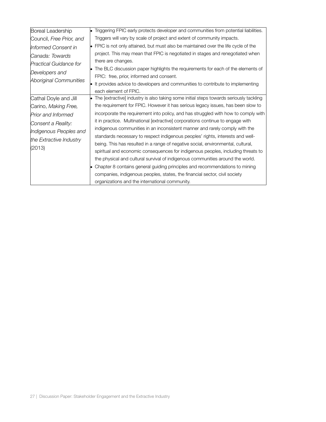| Boreal Leadership             | Triggering FPIC early protects developer and communities from potential liabilities.        |
|-------------------------------|---------------------------------------------------------------------------------------------|
| Council, Free Prior, and      | Triggers will vary by scale of project and extent of community impacts.                     |
| Informed Consent in           | $\bullet$ FPIC is not only attained, but must also be maintained over the life cycle of the |
| Canada: Towards               | project. This may mean that FPIC is negotiated in stages and renegotiated when              |
| <b>Practical Guidance for</b> | there are changes.                                                                          |
| Developers and                | The BLC discussion paper highlights the requirements for each of the elements of            |
|                               | FPIC: free, prior, informed and consent.                                                    |
| Aboriginal Communities        | It provides advice to developers and communities to contribute to implementing              |
|                               | each element of FPIC.                                                                       |
| Cathal Doyle and Jill         | The [extractive] industry is also taking some initial steps towards seriously tackling      |
| Carino, Making Free,          | the requirement for FPIC. However it has serious legacy issues, has been slow to            |
| <b>Prior and Informed</b>     | incorporate the requirement into policy, and has struggled with how to comply with          |
| Consent a Reality:            | it in practice. Multinational [extractive] corporations continue to engage with             |
| Indigenous Peoples and        | indigenous communities in an inconsistent manner and rarely comply with the                 |
| the Extractive Industry       | standards necessary to respect indigenous peoples' rights, interests and well-              |
|                               | being. This has resulted in a range of negative social, environmental, cultural,            |
| (2013)                        | spiritual and economic consequences for indigenous peoples, including threats to            |
|                               | the physical and cultural survival of indigenous communities around the world.              |
|                               | Chapter 8 contains general guiding principles and recommendations to mining                 |
|                               | companies, indigenous peoples, states, the financial sector, civil society                  |
|                               | organizations and the international community.                                              |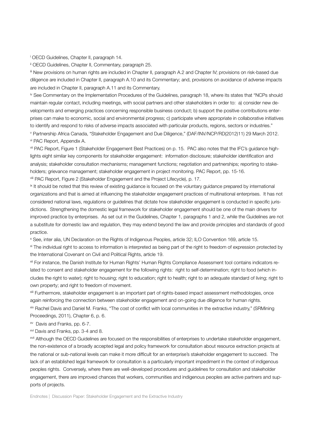i OECD Guidelines, Chapter II, paragraph 14.

<span id="page-28-0"></span>ii OECD Guidelines, Chapter II, Commentary, paragraph 25.

<span id="page-28-1"></span>iii New provisions on human rights are included in Chapter II, paragraph A.2 and Chapter IV; provisions on risk-based due diligence are included in Chapter II, paragraph A.10 and its Commentary; and, provisions on avoidance of adverse impacts are included in Chapter II, paragraph A.11 and its Commentary.

<span id="page-28-2"></span>iv See Commentary on the Implementation Procedures of the Guidelines, paragraph 18, where its states that "NCPs should maintain regular contact, including meetings, with social partners and other stakeholders in order to: a) consider new developments and emerging practices concerning responsible business conduct; b) support the positive contributions enterprises can make to economic, social and environmental progress; c) participate where appropriate in collaborative initiatives to identify and respond to risks of adverse impacts associated with particular products, regions, sectors or industries." v Partnership Africa Canada, "Stakeholder Engagement and Due Diligence," (DAF/INV/NCP/RD(2012)11) 29 March 2012.

<span id="page-28-4"></span><span id="page-28-3"></span>vi PAC Report, Appendix A.

<span id="page-28-5"></span>vii PAC Report, Figure 1 (Stakeholder Engagement Best Practices) on p. 15. PAC also notes that the IFC's guidance highlights eight similar key components for stakeholder engagement: information disclosure; stakeholder identification and analysis; stakeholder consultation mechanisms; management functions; negotiation and partnerships; reporting to stakeholders; grievance management; stakeholder engagement in project monitoring. PAC Report, pp. 15-16.

<span id="page-28-6"></span>viii PAC Report, Figure 2 (Stakeholder Engagement and the Project Lifecycle), p. 17.

<span id="page-28-7"></span>ix It should be noted that this review of existing guidance is focused on the voluntary guidance prepared by international organizations and that is aimed at influencing the stakeholder engagement practices of multinational enterprises. It has not considered national laws, regulations or guidelines that dictate how stakeholder engagement is conducted in specific jurisdictions. Strengthening the domestic legal framework for stakeholder engagement should be one of the main drivers for improved practice by enterprises. As set out in the Guidelines, Chapter 1, paragraphs 1 and 2, while the Guidelines are not a substitute for domestic law and regulation, they may extend beyond the law and provide principles and standards of good practice.

<span id="page-28-8"></span>x See, inter alia, UN Declaration on the Rights of Indigenous Peoples, article 32; ILO Convention 169, article 15.

<span id="page-28-9"></span>xi The individual right to access to information is interpreted as being part of the right to freedom of expression protected by the International Covenant on Civil and Political Rights, article 19.

<span id="page-28-10"></span>xii For instance, the Danish Institute for Human Rights' Human Rights Compliance Assessment tool contains indicators related to consent and stakeholder engagement for the following rights: right to self-determination; right to food (which includes the right to water); right to housing; right to education; right to health; right to an adequate standard of living; right to own property; and right to freedom of movement.

<span id="page-28-11"></span>xiii Furthermore, stakeholder engagement is an important part of rights-based impact assessment methodologies, once again reinforcing the connection between stakeholder engagement and on-going due diligence for human rights.

<span id="page-28-12"></span>xiv Rachel Davis and Daniel M. Franks, "The cost of conflict with local communities in the extractive industry," (SRMining Proceedings, 2011), Chapter 6, p. 6.

<span id="page-28-13"></span>xv Davis and Franks, pp. 6-7.

<span id="page-28-14"></span><sup>xvi</sup> Davis and Franks, pp. 3-4 and 8.

<span id="page-28-15"></span>xvii Although the OECD Guidelines are focused on the responsibilities of enterprises to undertake stakeholder engagement, the non-existence of a broadly accepted legal and policy framework for consultation about resource extraction projects at the national or sub-national levels can make it more difficult for an enterprise's stakeholder engagement to succeed. The lack of an established legal framework for consultation is a particularly important impediment in the context of indigenous peoples rights. Conversely, where there are well-developed procedures and guidelines for consultation and stakeholder engagement, there are improved chances that workers, communities and indigenous peoples are active partners and supports of projects.